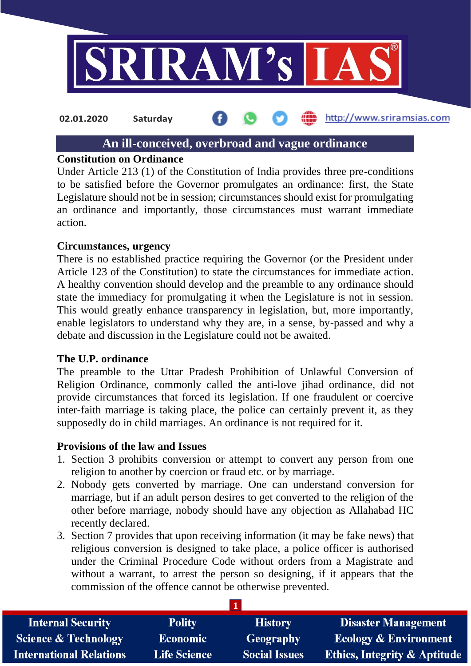

http://www.sriramsias.com **02.01.2020 Saturday**

## **An ill-conceived, overbroad and vague ordinance**

### **Constitution on Ordinance**

Under Article 213 (1) of the Constitution of India provides three pre-conditions to be satisfied before the Governor promulgates an ordinance: first, the State Legislature should not be in session; circumstances should exist for promulgating an ordinance and importantly, those circumstances must warrant immediate action.

### **Circumstances, urgency**

There is no established practice requiring the Governor (or the President under Article 123 of the Constitution) to state the circumstances for immediate action. A healthy convention should develop and the preamble to any ordinance should state the immediacy for promulgating it when the Legislature is not in session. This would greatly enhance transparency in legislation, but, more importantly, enable legislators to understand why they are, in a sense, by-passed and why a debate and discussion in the Legislature could not be awaited.

### **The U.P. ordinance**

The preamble to the Uttar Pradesh Prohibition of Unlawful Conversion of Religion Ordinance, commonly called the anti-love jihad ordinance, did not provide circumstances that forced its legislation. If one fraudulent or coercive inter-faith marriage is taking place, the police can certainly prevent it, as they supposedly do in child marriages. An ordinance is not required for it.

### **Provisions of the law and Issues**

- 1. Section 3 prohibits conversion or attempt to convert any person from one religion to another by coercion or fraud etc. or by marriage.
- 2. Nobody gets converted by marriage. One can understand conversion for marriage, but if an adult person desires to get converted to the religion of the other before marriage, nobody should have any objection as Allahabad HC recently declared.
- 3. Section 7 provides that upon receiving information (it may be fake news) that religious conversion is designed to take place, a police officer is authorised under the Criminal Procedure Code without orders from a Magistrate and without a warrant, to arrest the person so designing, if it appears that the commission of the offence cannot be otherwise prevented.

| <b>Internal Security</b>        | <b>Polity</b>       | <b>History</b>       | <b>Disaster Management</b>              |  |  |
|---------------------------------|---------------------|----------------------|-----------------------------------------|--|--|
| <b>Science &amp; Technology</b> | <b>Economic</b>     | Geography            | <b>Ecology &amp; Environment</b>        |  |  |
| <b>International Relations</b>  | <b>Life Science</b> | <b>Social Issues</b> | <b>Ethics, Integrity &amp; Aptitude</b> |  |  |

**1**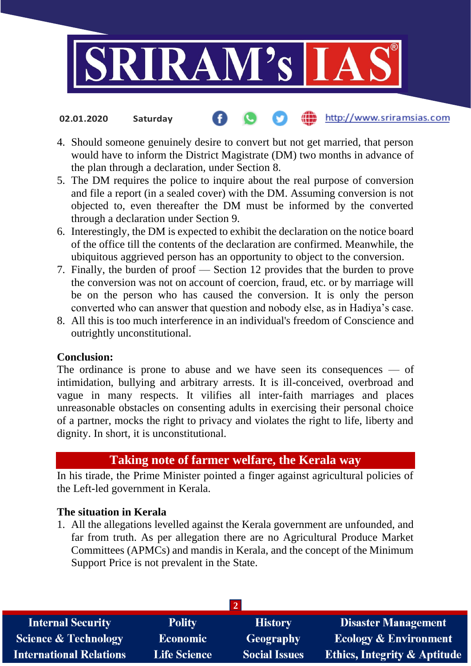

#### http://www.sriramsias.com **02.01.2020 Saturday**

- 4. Should someone genuinely desire to convert but not get married, that person would have to inform the District Magistrate (DM) two months in advance of the plan through a declaration, under Section 8.
- 5. The DM requires the police to inquire about the real purpose of conversion and file a report (in a sealed cover) with the DM. Assuming conversion is not objected to, even thereafter the DM must be informed by the converted through a declaration under Section 9.
- 6. Interestingly, the DM is expected to exhibit the declaration on the notice board of the office till the contents of the declaration are confirmed. Meanwhile, the ubiquitous aggrieved person has an opportunity to object to the conversion.
- 7. Finally, the burden of proof Section 12 provides that the burden to prove the conversion was not on account of coercion, fraud, etc. or by marriage will be on the person who has caused the conversion. It is only the person converted who can answer that question and nobody else, as in Hadiya's case.
- 8. All this is too much interference in an individual's freedom of Conscience and outrightly unconstitutional.

### **Conclusion:**

The ordinance is prone to abuse and we have seen its consequences — of intimidation, bullying and arbitrary arrests. It is ill-conceived, overbroad and vague in many respects. It vilifies all inter-faith marriages and places unreasonable obstacles on consenting adults in exercising their personal choice of a partner, mocks the right to privacy and violates the right to life, liberty and dignity. In short, it is unconstitutional.

# **Taking note of farmer welfare, the Kerala way**

In his tirade, the Prime Minister pointed a finger against agricultural policies of the Left-led government in Kerala.

### **The situation in Kerala**

1. All the allegations levelled against the Kerala government are unfounded, and far from truth. As per allegation there are no Agricultural Produce Market Committees (APMCs) and mandis in Kerala, and the concept of the Minimum Support Price is not prevalent in the State.

| <b>Internal Security</b>        | <b>Polity</b>       | <b>History</b>       | <b>Disaster Management</b>              |  |  |  |
|---------------------------------|---------------------|----------------------|-----------------------------------------|--|--|--|
| <b>Science &amp; Technology</b> | <b>Economic</b>     | <b>Geography</b>     | <b>Ecology &amp; Environment</b>        |  |  |  |
| <b>International Relations</b>  | <b>Life Science</b> | <b>Social Issues</b> | <b>Ethics, Integrity &amp; Aptitude</b> |  |  |  |